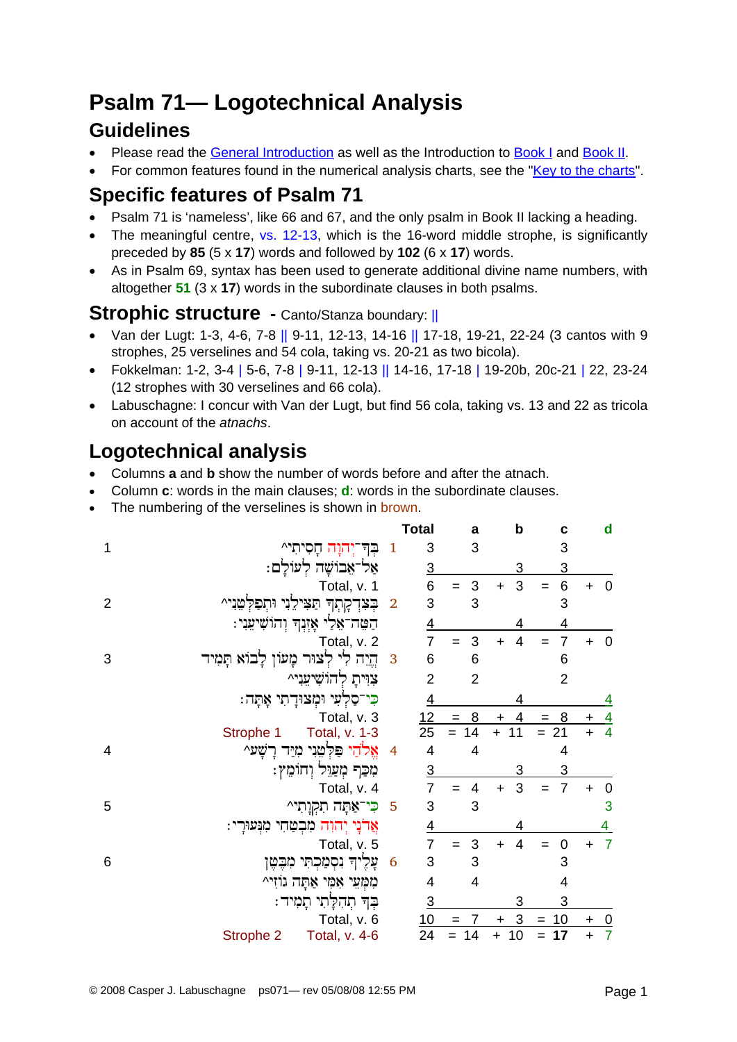# **Psalm 71— Logotechnical Analysis**

#### **Guidelines**

- Please read the [General Introduction](http://www.labuschagne.nl/aspects.pdf) as well as the Introduction to [Book I](http://www.labuschagne.nl/intro1.pdf) and [Book II](http://www.labuschagne.nl/intro2.pdf).
- For common features found in the numerical analysis charts, see the "[Key to the charts](http://www.labuschagne.nl/keytocharts.pdf)".

### **Specific features of Psalm 71**

- Psalm 71 is 'nameless', like 66 and 67, and the only psalm in Book II lacking a heading.
- The meaningful centre, vs. 12-13, which is the 16-word middle strophe, is significantly preceded by **85** (5 x **17**) words and followed by **102** (6 x **17**) words.
- As in Psalm 69, syntax has been used to generate additional divine name numbers, with altogether **51** (3 x **17**) words in the subordinate clauses in both psalms.

#### **Strophic structure - Canto/Stanza boundary: ||**

- Van der Lugt: 1-3, 4-6, 7-8 || 9-11, 12-13, 14-16 || 17-18, 19-21, 22-24 (3 cantos with 9 strophes, 25 verselines and 54 cola, taking vs. 20-21 as two bicola).
- Fokkelman: 1-2, 3-4 | 5-6, 7-8 | 9-11, 12-13 || 14-16, 17-18 | 19-20b, 20c-21 | 22, 23-24 (12 strophes with 30 verselines and 66 cola).
- Labuschagne: I concur with Van der Lugt, but find 56 cola, taking vs. 13 and 22 as tricola on account of the *atnachs*.

## **Logotechnical analysis**

- Columns **a** and **b** show the number of words before and after the atnach.
- Column **c**: words in the main clauses; **d**: words in the subordinate clauses.
- The numbering of the verselines is shown in brown.

|                |                                           |                | Total           | a              | b                           | C                     |           | d                       |
|----------------|-------------------------------------------|----------------|-----------------|----------------|-----------------------------|-----------------------|-----------|-------------------------|
| 1              | בָּך <del>ּ יְ</del> הוָה חָסִיתִי^       | $\mathbf{1}$   | 3               | 3              |                             | 3                     |           |                         |
|                | אַל־אֵבוֹשָׁה לְעוֹלַם:                   |                | <u>3</u>        |                | 3                           | $\overline{3}$        |           |                         |
|                | Total, v. 1                               |                | 6               | 3              | 3<br>$\ddot{}$              | $\,6$<br>$=$          |           | $\mathbf 0$             |
| $\overline{2}$ | בְּצִדְקָתְךָ תַּצִּילֵנִי וּתְפַלְטֵנִי^ | $\overline{2}$ | 3               | 3              |                             | 3                     |           |                         |
|                | הַטֵּה־אָלֵי אָזְנְךְ וְהוֹשִׁיעִנִי:     |                | $\overline{4}$  |                | 4                           | 4                     |           |                         |
|                | Total, v. 2                               |                | $\overline{7}$  | 3              | $\overline{4}$<br>$\ddot{}$ | $\overline{7}$<br>$=$ | $\ddot{}$ | $\mathbf 0$             |
| 3              | הֱיֵה לִי לְצוּר מָעוֹן לָבוֹא תָמִיד     | 3              | 6               | 6              |                             | 6                     |           |                         |
|                | צוּית להוֹשִׁיעֲנִי^                      |                | $\overline{2}$  | $\overline{2}$ |                             | $\overline{2}$        |           |                         |
|                | ּכִּי־סַלְעִי וּמְצוּדָתִי אָתָה:         |                | $\overline{4}$  |                |                             |                       |           | 4                       |
|                | Total, v. 3                               |                | 12              | 8<br>$=$       | 4<br>$\ddot{}$              | 8<br>$=$              | $\ddot{}$ | $\overline{4}$          |
|                | Total, v. 1-3<br>Strophe 1                |                | $\overline{25}$ | 14             | 11<br>$+$                   | $= 21$                | $+$       | $\overline{4}$          |
| 4              | אֱלֹהַי פִּלְטֵנִי מִיַּד<br>רשע^         | $\overline{4}$ | 4               | 4              |                             | 4                     |           |                         |
|                | מִכַּף מְעַוֵּל וְחוֹמֵץ:                 |                | <u>3</u>        |                | 3                           | 3                     |           |                         |
|                | Total, v. 4                               |                | $\overline{7}$  | 4              | 3<br>$+$                    | $\overline{7}$<br>$=$ | $\ddot{}$ | $\mathbf 0$             |
| 5              | <mark>ּכִּי־אַ</mark> תָּה תִקְוָתִי^     | 5              | 3               | 3              |                             |                       |           | 3                       |
|                | אַרֹנָי יִהוָה מִבְטַחִי מִנִּעוּרָי:     |                | $\overline{4}$  |                |                             |                       |           | 4                       |
|                | Total, v. 5                               |                | 7               | 3<br>$=$       | $\overline{4}$<br>$\ddot{}$ | 0<br>$=$              | $\ddot{}$ | $\overline{7}$          |
| 6              | עָלֶיךָ נִסְמַכְתִּי מִבֶּטֶן             | 6              | 3               | 3              |                             | 3                     |           |                         |
|                | מִמְּעֵי אָמִי אַתָּה גוֹזִי^             |                | 4               | 4              |                             | 4                     |           |                         |
|                | ּבְךָ תְהִלָּתִי תָמִיד:                  |                | $\overline{3}$  |                | 3                           | 3                     |           |                         |
|                | Total, v. 6                               |                | 10              |                | 3<br>$\ddot{}$              | 10<br>$=$             | $\ddot{}$ | $\overline{\mathbf{0}}$ |
|                | Strophe 2<br>Total, v. 4-6                |                | 24              | 14             | 10<br>$\ddot{}$             | 17<br>$=$             | $\ddot{}$ | $\overline{7}$          |
|                |                                           |                |                 |                |                             |                       |           |                         |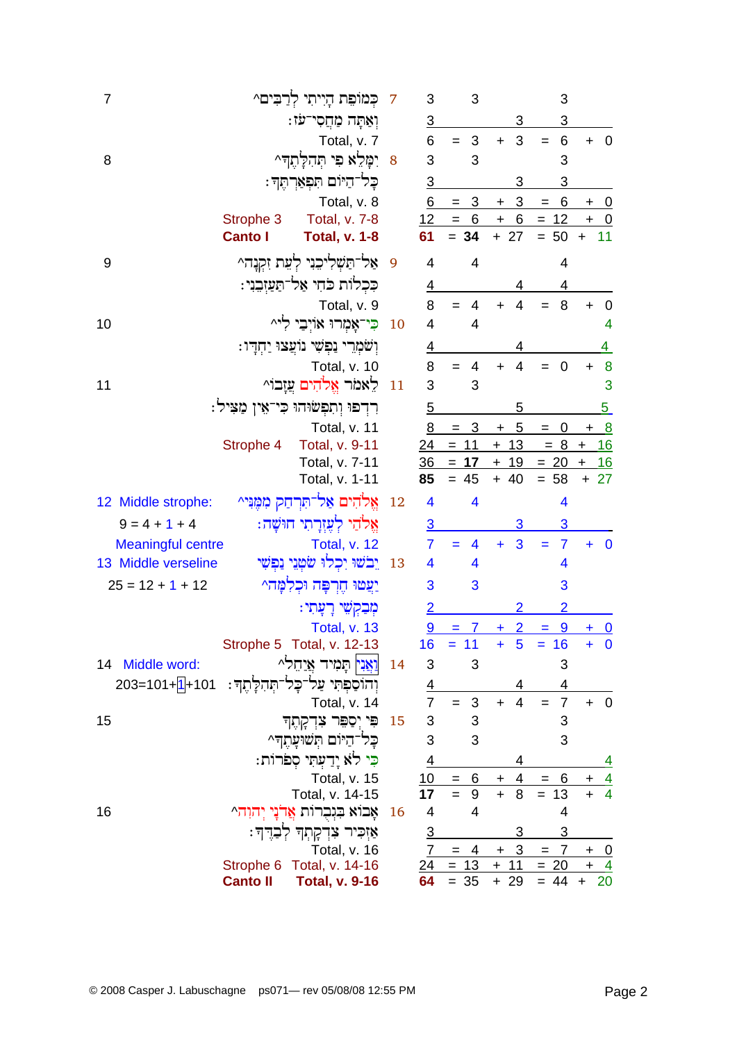| $\overline{7}$           |                 | כְּמוֹפֵת הָיִיתִי לְרַבִּים^                  | 7              | 3                         | 3                     |                                       | 3                          |                                |
|--------------------------|-----------------|------------------------------------------------|----------------|---------------------------|-----------------------|---------------------------------------|----------------------------|--------------------------------|
|                          |                 | וְאַתָּה מַחֲסִי־עֹז:                          |                | $\overline{3}$            |                       |                                       | 3                          |                                |
|                          |                 | Total, v. 7                                    |                | 6                         | $= 3$                 | $\mathbf{3}$<br>$+$                   | 6<br>$\equiv$              | $+ 0$                          |
| 8                        |                 | ִימָּלֵא פִ <i>י</i> תְּהִלְתֶך <sup>ָ</sup> ^ | 8              | 3                         | 3                     |                                       | 3                          |                                |
|                          |                 | כַּל־הַיּוֹם תִּפְאַרְתֶּךְ :                  |                | $\overline{3}$            |                       | 3                                     | 3                          |                                |
|                          |                 | Total, v. 8                                    |                | 6                         | $\overline{3}$<br>$=$ | $\overline{3}$<br>$\ddot{}$           | 6<br>$\qquad \qquad =$     | $+ 0$                          |
|                          | Strophe 3       | Total, v. 7-8                                  |                | 12                        | $= 6$                 |                                       | $+ 6 = 12$                 | $+ 0$                          |
|                          | <b>Canto I</b>  | <b>Total, v. 1-8</b>                           |                | 61                        | $= 34$                | $+ 27$                                | $= 50$                     | $+ 11$                         |
| 9                        |                 | אַל־תַּשְׁלִיכִנִי לְעֵת זִקְנָה^              | $\overline{9}$ | $\overline{\mathbf{4}}$   | 4                     |                                       | $\overline{4}$             |                                |
|                          |                 | כִּכְלוֹת כֹּחִי אַל־תַּעַזְבֵנִי:             |                | $\overline{4}$            |                       |                                       | 4                          |                                |
|                          |                 | Total, v. 9                                    |                | 8                         | $=$<br>4              | $\overline{4}$<br>$+$                 | 8                          | $\overline{\mathbf{0}}$<br>$+$ |
| 10                       |                 | כִּי־אָמְרוּ אוֹיִבַי לִי^                     | <b>10</b>      | $\overline{\mathcal{A}}$  | 4                     |                                       |                            | 4                              |
|                          |                 | וְשֹׁמְרֵי נַפְשִׁי נוֹעֲצוּ יַחְדְיו:         |                | <u>4</u>                  |                       | 4                                     |                            | $\overline{4}$                 |
|                          |                 | Total, v. 10                                   |                | 8                         | 4                     | $\overline{4}$<br>$+$                 | $\overline{0}$             | $\boldsymbol{8}$<br>$\ddot{}$  |
| 11                       |                 | לאמר אֱלֹהִים עַזָבוֹ^                         | 11             | 3                         | 3                     |                                       |                            | 3                              |
|                          |                 | ּרִדְפוּ וְתִפְשׂוּהוּ כִּי־אֵין מַצִּיל:      |                | $\overline{5}$            |                       | 5                                     |                            | $\overline{5}$                 |
|                          |                 | Total, v. 11                                   |                | 8                         | $=$ 3                 | 5<br>$\begin{array}{c} + \end{array}$ | $\overline{0}$<br>$\!=$    | $+ 8$                          |
|                          | Strophe 4       | Total, v. 9-11                                 |                | 24                        | $= 11$                | $+13$                                 |                            | $= 8 + 16$                     |
|                          |                 | Total, v. 7-11                                 |                | 36                        | 17<br>$=$             | 19<br>$+$                             | $= 20$                     | 16<br>$+$                      |
|                          |                 | Total, v. 1-11                                 |                | 85                        | $= 45$                | $+ 40$                                | $= 58$                     | $+27$                          |
| 12 Middle strophe:       |                 | אֵלֹהִים אַל־תִּרְחַק מִמֵּנִּי^               | 12             | $\overline{\mathbf{4}}$   | 4                     |                                       | 4                          |                                |
| $9 = 4 + 1 + 4$          |                 | אֵלֹהַי לִעֲזִרָתִי חוּשָׁה:                   |                | $\overline{3}$            |                       | 3                                     | 3                          |                                |
| <b>Meaningful centre</b> |                 | <b>Total, v. 12</b>                            |                | $\overline{7}$            | 4                     | 3<br>÷                                | $\overline{7}$<br>$=$      | $\overline{\mathbf{0}}$        |
| 13 Middle verseline      |                 | יֵבֹשׁוּ יִכְלוּ שֹׂטְנֵי נַפִּשִׁי            | <sup>13</sup>  | 4                         | 4                     |                                       | 4                          |                                |
| $25 = 12 + 1 + 12$       |                 | יַצִטוּ חֶרְפָּה וּכְלִמָּה^                   |                | 3                         | 3                     |                                       | 3                          |                                |
|                          |                 | ּמְבַקְשֵׁי רָעָתִי:                           |                | $\overline{2}$            |                       |                                       | $\overline{2}$             |                                |
|                          |                 | Total, v. 13                                   |                | <u>9</u>                  | $= 7$                 | $\overline{2}$<br>$+$                 | $= 9$                      | $+ 0$                          |
|                          |                 | Strophe 5 Total, v. 12-13                      |                | 16                        | $= 11$                | $\ddot{}$<br>5                        | $= 16$                     | $+ 0$                          |
| 14 Middle word:          |                 | <mark>וַאֲנִי</mark> תָּמִיד <u>אֲי</u> חֵל^   | 14             | 3                         | 3                     |                                       | 3                          |                                |
| $203 = 101 + 101$        |                 | וָהוֹסַפְתִּי עַל־כָּל־תְּהִלָּתֶךְ:           |                |                           |                       |                                       | 4                          |                                |
|                          |                 | Total, v. 14                                   |                | $\frac{4}{7}$             | 3<br>$=$              | $\overline{4}$<br>$+$                 | $\overline{7}$<br>$=$      | $+ 0$                          |
| 15                       |                 | פִּי יִסַפֵּר צִדְקָתֶך                        | <b>15</b>      | $\ensuremath{\mathsf{3}}$ | 3                     |                                       | 3                          |                                |
|                          |                 | כל־היום תשועתה^                                |                | 3                         | 3                     |                                       | 3                          |                                |
|                          |                 | כִּי לֹא יַדַעְתִּי סִפֹּרוֹת:                 |                | <u>4</u>                  |                       |                                       |                            | <u>4</u>                       |
|                          |                 | Total, v. 15                                   |                | 10                        | 6<br>$=$              | $\overline{4}$<br>$+$                 | 6<br>$=$                   | $\frac{4}{4}$                  |
|                          |                 | Total, v. 14-15                                |                | $\overline{17}$           | $= 9$                 | $+$<br>8                              | $= 13$                     |                                |
| 16                       |                 | אָבוֹא בִּנְבְרוֹת אֲדֹנָי יְהוָה^             | <b>16</b>      | 4                         | 4                     |                                       | 4                          |                                |
|                          |                 | אַזִּכִּיר צִדְקָתְךּ לְבַדֶּךְ׃               |                | $rac{3}{7}$               |                       | 3                                     | 3                          |                                |
|                          |                 | Total, v. 16                                   |                |                           | $= 4$                 | $+3$                                  | $\overline{7}$<br>$\equiv$ | $+ 0$                          |
|                          | Strophe 6       | Total, v. 14-16                                |                | <u>24</u>                 | $= 13$                | <u>+ 11</u>                           | $= 20$                     | $+$ 4                          |
|                          | <b>Canto II</b> | <b>Total, v. 9-16</b>                          |                | 64                        | $= 35$                | $+29$                                 | $= 44$                     | 20<br>$+$                      |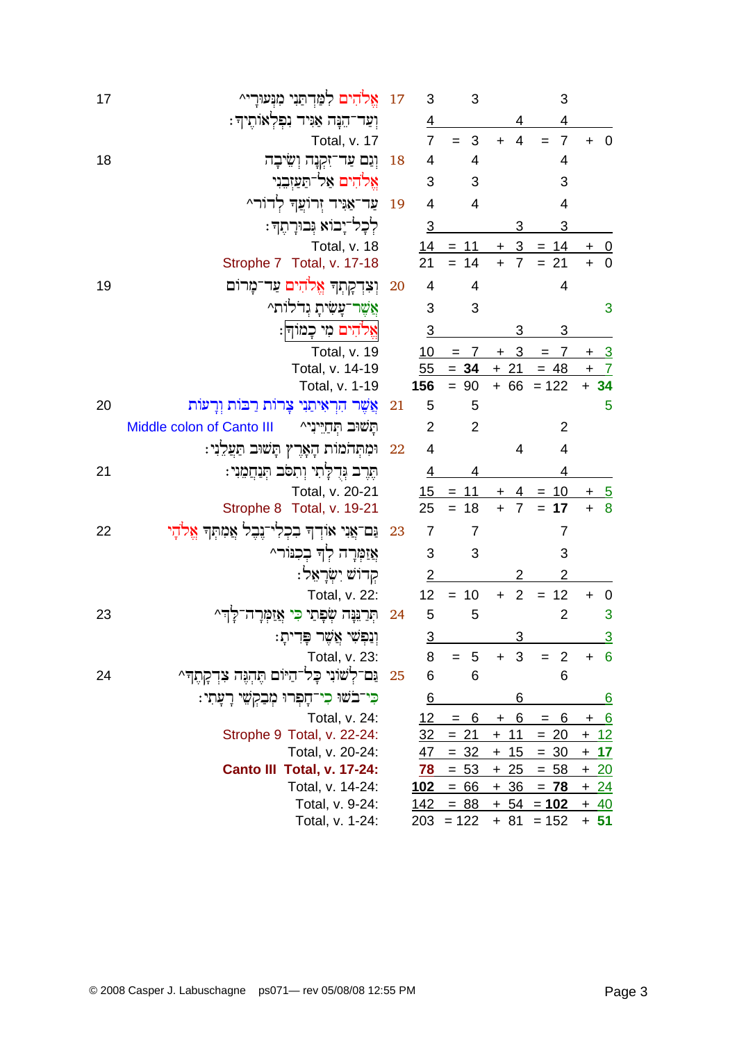| 17 | אֱלֹהִים לִמַּדְתַּנִי מִנְעוּרָי^                  | 17 | 3              | 3              |                             | 3                     |                           |
|----|-----------------------------------------------------|----|----------------|----------------|-----------------------------|-----------------------|---------------------------|
|    | וְעַר־הֵנָּה אַנִּיד נִפְלְאוֹתֶיךָ:                |    | $\overline{4}$ |                | 4                           | 4                     |                           |
|    | Total, v. 17                                        |    | $\overline{7}$ | 3              | $\overline{4}$<br>$\ddot{}$ | $\overline{7}$<br>$=$ | $\overline{0}$<br>$+$     |
| 18 | וְנֵם עַד־זִקְנָה וְשִׂיבָה                         | 18 | 4              | 4              |                             | 4                     |                           |
|    | אֱלֹהִים אַל־תַּעַזְבֵנִי                           |    | 3              | 3              |                             | 3                     |                           |
|    | עַר־אַנִּיד זִרוֹעֲךָ לְדוֹרֵ^                      | 19 | $\overline{4}$ | $\overline{4}$ |                             | 4                     |                           |
|    | לִכָל־יָבוֹא גִּבוּרָתֵךּ:                          |    | $\overline{3}$ |                | 3                           | 3                     |                           |
|    | Total, v. 18                                        |    |                | $14 = 11$      | $\overline{3}$<br>$+$       | $= 14$                | $\overline{0}$            |
|    | Strophe 7 Total, v. 17-18                           |    | 21             | $= 14$         | $\overline{7}$              | $= 21$                | $\overline{0}$            |
| 19 | וְצִדְקָתְךָ אֱלֹהִים עַר־מָרוֹם                    | 20 | 4              | 4              |                             | $\overline{4}$        |                           |
|    | אֲשֶׁר־עָשִׂיתָ גִדֹלוֹת^                           |    | 3              | 3              |                             |                       | 3                         |
|    | אֵלהִים מִי כָּמוֹדְּ:                              |    | <u>3</u>       |                | 3                           | 3                     |                           |
|    | Total, v. 19                                        |    | 10             | 7<br>$=$       | 3<br>$\ddot{}$              | 7<br>$=$              | <u>_3</u><br>$\ddot{}$    |
|    | Total, v. 14-19                                     |    | 55             | $= 34$         | $+ 21$                      | $= 48$                | $\overline{7}$<br>$+$     |
|    | Total, v. 1-19                                      |    | 156            | $= 90$         |                             | $+ 66 = 122$          | $+ 34$                    |
| 20 | אֲשֶׁר הִרְאִיתַנִי צָרוֹת רַבּוֹת וְרָעוֹת         | 21 | 5              | 5              |                             |                       | 5                         |
|    | Middle colon of Canto III<br>תַּשׁוּב תִּחַיֵּינִי^ |    | $\overline{2}$ | $\overline{2}$ |                             | 2                     |                           |
|    | וּמִתְּהֹמוֹת הָאָרֶץ תָּשׁוּב תַּעֲלֵנִי:          | 22 | 4              |                | 4                           | $\overline{4}$        |                           |
| 21 | תֶּרֶב וָּדְלָתִי וְתִסֹּב תִּנַחֲמֶנִי:            |    | $\overline{4}$ |                |                             | 4                     |                           |
|    | Total, v. 20-21                                     |    | 15             | $= 11$         | 4                           | 10<br>$=$             | $\overline{\phantom{0}5}$ |
|    | Strophe 8 Total, v. 19-21                           |    | 25             | $= 18$         | $+$<br>$\overline{7}$       | $= 17$                | 8<br>$\ddot{}$            |
| 22 | נֵם־אֲנִי אוֹדְךָ בִכְלִי־נֶבֶל אֲמִתְךָ אֱלֹדֶי    | 23 | 7              | $\overline{7}$ |                             | 7                     |                           |
|    | אֲזַמְרָה לְךָ בִכְנּוֹרֵ^                          |    | 3              | 3              |                             | 3                     |                           |
|    | קרוש יִשְׂרָאֵל:                                    |    | $\overline{2}$ |                | 2                           | $\overline{2}$        |                           |
|    | Total, v. 22:                                       |    | 12             | $= 10$         | $\overline{2}$<br>$+$       | 12<br>$=$             | $\mathbf 0$<br>$\ddot{}$  |
| 23 | תִּרַנְּנָה שִׂפָתֵי כִּי אֲזַמְרָ                  | 24 | 5              | 5              |                             | $\overline{2}$        | 3                         |
|    | וְנַפְשִׁי אֲשֶׁר פָּדִיתָ:                         |    | $\overline{3}$ |                |                             |                       | $\overline{3}$            |
|    | Total, v. 23:                                       |    | 8              | $= 5$          | 3<br>$+$                    | $= 2$                 | - 6<br>$\ddot{}$          |
| 24 | ּנִם־לְשׁוֹנִי כָּל־הַיּוֹם תֶּהְגֶּה צִדְקָתֶךְּ^  | 25 | 6              | 6              |                             | 6                     |                           |
|    | כִּי־בֹשוּ כִי־חָפְרוּ מְבַקְשֵׁי רָעָתִי:          |    | <u>6</u>       |                | 6                           |                       | <u>6</u>                  |
|    | Total, v. 24:                                       |    | 12             | 6<br>$=$       | 6<br>$+$                    | 6<br>$=$              | 6<br>$\ddot{}$            |
|    | Strophe 9 Total, v. 22-24:                          |    | <u>32</u>      | $= 21$         | $+ 11$                      | $= 20$                | $+ 12$                    |
|    | Total, v. 20-24:                                    |    | <u>47</u>      | $= 32$         | $+ 15$                      | $= 30$                | $+ 17$                    |
|    | Canto III Total, v. 17-24:                          |    | <u>78</u>      | $= 53$         | $+25$                       | $= 58$                | $+20$                     |
|    | Total, v. 14-24:                                    |    | <u> 102</u>    | $= 66$         | $+36$                       | $= 78$                | $+24$                     |
|    | Total, v. 9-24:                                     |    | 142            | $= 88$         |                             | $+ 54 = 102$          | <u>+ 40</u>               |
|    | Total, v. 1-24:                                     |    |                | $203 = 122$    |                             | $+ 81 = 152$          | $+ 51$                    |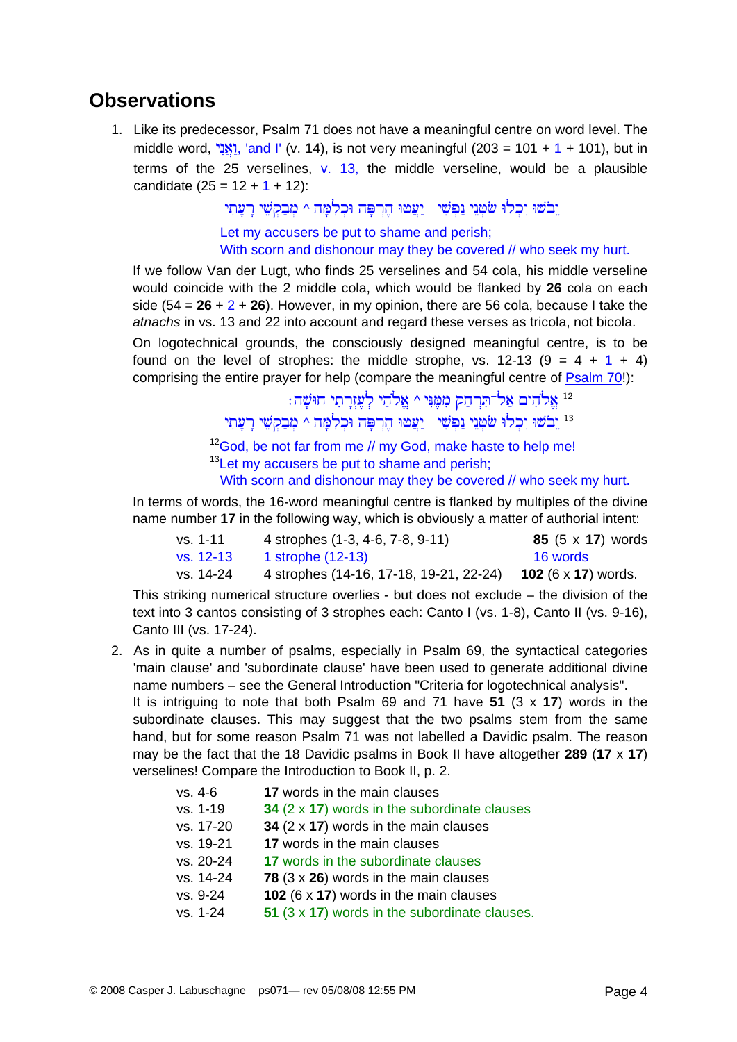#### **Observations**

1. Like its predecessor, Psalm 71 does not have a meaningful centre on word level. The middle word,  $\frac{1}{N}$ , 'and I' (v. 14), is not very meaningful (203 = 101 + 1 + 101), but in terms of the 25 verselines,  $v$ . 13, the middle verseline, would be a plausible candidate  $(25 = 12 + 1 + 12)$ :

> בשוּ יִכְלוּ שֹׂטְנֵי נַפְשִׁי ್ייֲעֲטוּ חֶרְפָּה וּכְלְמַּה ^ מִבַקְשֵׁי רַעַתְיִ Let my accusers be put to shame and perish; With scorn and dishonour may they be covered // who seek my hurt.

If we follow Van der Lugt, who finds 25 verselines and 54 cola, his middle verseline would coincide with the 2 middle cola, which would be flanked by **26** cola on each side  $(54 = 26 + 2 + 26)$ . However, in my opinion, there are 56 cola, because I take the *atnachs* in vs. 13 and 22 into account and regard these verses as tricola, not bicola. On logotechnical grounds, the consciously designed meaningful centre, is to be found on the level of strophes: the middle strophe, vs. 12-13  $(9 = 4 + 1 + 4)$ comprising the entire prayer for help (compare the meaningful centre of [Psalm 70!](http://www.labuschagne.nl/ps070.pdf)):

> : אֲלֹהִים אֲל־תִּרְחַק מִמֶּנִּי ^ אֱלֹהֵי לְעֶזְרָתִי חוּשָׁה $^{12}$ בשׁוּ יִכְלוּ שֹּטְנֵי נַפְשִׁי ִיעֲטוּ חֶרְפָּה וּכְלְמַה ^ מִבְקִשֵׁי רַעֲתִי  $^{13}$ <sup>12</sup>God, be not far from me // my God, make haste to help me! <sup>13</sup> Let my accusers be put to shame and perish;

With scorn and dishonour may they be covered // who seek my hurt.

In terms of words, the 16-word meaningful centre is flanked by multiples of the divine name number **17** in the following way, which is obviously a matter of authorial intent:

| vs. 1-11  | 4 strophes (1-3, 4-6, 7-8, 9-11)                                           | <b>85</b> $(5 \times 17)$ words |
|-----------|----------------------------------------------------------------------------|---------------------------------|
| vs. 12-13 | 1 strophe (12-13)                                                          | 16 words                        |
| vs. 14-24 | 4 strophes (14-16, 17-18, 19-21, 22-24) <b>102</b> (6 x <b>17</b> ) words. |                                 |

This striking numerical structure overlies - but does not exclude – the division of the text into 3 cantos consisting of 3 strophes each: Canto I (vs. 1-8), Canto II (vs. 9-16), Canto III (vs. 17-24).

2. As in quite a number of psalms, especially in Psalm 69, the syntactical categories 'main clause' and 'subordinate clause' have been used to generate additional divine name numbers – see the General Introduction "Criteria for logotechnical analysis". It is intriguing to note that both Psalm 69 and 71 have **51** (3 x **17**) words in the subordinate clauses. This may suggest that the two psalms stem from the same hand, but for some reason Psalm 71 was not labelled a Davidic psalm. The reason may be the fact that the 18 Davidic psalms in Book II have altogether **289** (**17** x **17**) verselines! Compare the Introduction to Book II, p. 2.

| vs. 4-6   | 17 words in the main clauses                        |
|-----------|-----------------------------------------------------|
| vs. 1-19  | 34 $(2 \times 17)$ words in the subordinate clauses |
| vs. 17-20 | 34 $(2 \times 17)$ words in the main clauses        |
| vs. 19-21 | 17 words in the main clauses                        |
| vs. 20-24 | 17 words in the subordinate clauses                 |
| vs. 14-24 | 78 $(3 \times 26)$ words in the main clauses        |
| vs. 9-24  | 102 (6 $\times$ 17) words in the main clauses       |
| vs. 1-24  | 51 (3 x 17) words in the subordinate clauses.       |
|           |                                                     |